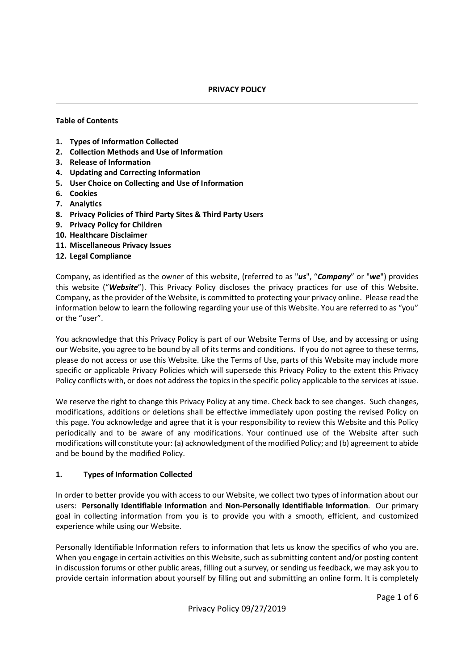#### PRIVACY POLICY

#### Table of Contents

- 1. Types of Information Collected
- 2. Collection Methods and Use of Information
- 3. Release of Information
- 4. Updating and Correcting Information
- 5. User Choice on Collecting and Use of Information
- 6. Cookies
- 7. Analytics
- 8. Privacy Policies of Third Party Sites & Third Party Users
- 9. Privacy Policy for Children
- 10. Healthcare Disclaimer
- 11. Miscellaneous Privacy Issues
- 12. Legal Compliance

Company, as identified as the owner of this website, (referred to as " $us$ ", "Company" or "we") provides this website ("Website"). This Privacy Policy discloses the privacy practices for use of this Website. Company, as the provider of the Website, is committed to protecting your privacy online. Please read the information below to learn the following regarding your use of this Website. You are referred to as "you" or the "user".

You acknowledge that this Privacy Policy is part of our Website Terms of Use, and by accessing or using our Website, you agree to be bound by all of its terms and conditions. If you do not agree to these terms, please do not access or use this Website. Like the Terms of Use, parts of this Website may include more specific or applicable Privacy Policies which will supersede this Privacy Policy to the extent this Privacy Policy conflicts with, or does not address the topics in the specific policy applicable to the services at issue.

We reserve the right to change this Privacy Policy at any time. Check back to see changes. Such changes, modifications, additions or deletions shall be effective immediately upon posting the revised Policy on this page. You acknowledge and agree that it is your responsibility to review this Website and this Policy periodically and to be aware of any modifications. Your continued use of the Website after such modifications will constitute your: (a) acknowledgment of the modified Policy; and (b) agreement to abide and be bound by the modified Policy.

#### 1. Types of Information Collected

In order to better provide you with access to our Website, we collect two types of information about our users: Personally Identifiable Information and Non-Personally Identifiable Information. Our primary goal in collecting information from you is to provide you with a smooth, efficient, and customized experience while using our Website.

Personally Identifiable Information refers to information that lets us know the specifics of who you are. When you engage in certain activities on this Website, such as submitting content and/or posting content in discussion forums or other public areas, filling out a survey, or sending us feedback, we may ask you to provide certain information about yourself by filling out and submitting an online form. It is completely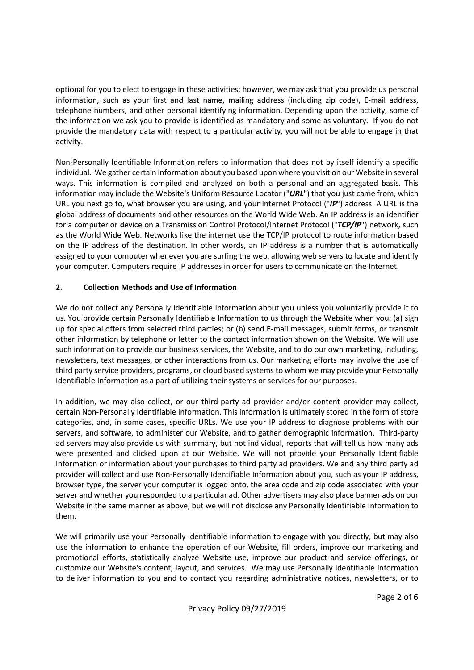optional for you to elect to engage in these activities; however, we may ask that you provide us personal information, such as your first and last name, mailing address (including zip code), E-mail address, telephone numbers, and other personal identifying information. Depending upon the activity, some of the information we ask you to provide is identified as mandatory and some as voluntary. If you do not provide the mandatory data with respect to a particular activity, you will not be able to engage in that activity.

Non-Personally Identifiable Information refers to information that does not by itself identify a specific individual. We gather certain information about you based upon where you visit on our Website in several ways. This information is compiled and analyzed on both a personal and an aggregated basis. This information may include the Website's Uniform Resource Locator ("URL") that you just came from, which URL you next go to, what browser you are using, and your Internet Protocol ("IP") address. A URL is the global address of documents and other resources on the World Wide Web. An IP address is an identifier for a computer or device on a Transmission Control Protocol/Internet Protocol ("TCP/IP") network, such as the World Wide Web. Networks like the internet use the TCP/IP protocol to route information based on the IP address of the destination. In other words, an IP address is a number that is automatically assigned to your computer whenever you are surfing the web, allowing web servers to locate and identify your computer. Computers require IP addresses in order for users to communicate on the Internet.

# 2. Collection Methods and Use of Information

We do not collect any Personally Identifiable Information about you unless you voluntarily provide it to us. You provide certain Personally Identifiable Information to us through the Website when you: (a) sign up for special offers from selected third parties; or (b) send E-mail messages, submit forms, or transmit other information by telephone or letter to the contact information shown on the Website. We will use such information to provide our business services, the Website, and to do our own marketing, including, newsletters, text messages, or other interactions from us. Our marketing efforts may involve the use of third party service providers, programs, or cloud based systems to whom we may provide your Personally Identifiable Information as a part of utilizing their systems or services for our purposes.

In addition, we may also collect, or our third-party ad provider and/or content provider may collect, certain Non-Personally Identifiable Information. This information is ultimately stored in the form of store categories, and, in some cases, specific URLs. We use your IP address to diagnose problems with our servers, and software, to administer our Website, and to gather demographic information. Third-party ad servers may also provide us with summary, but not individual, reports that will tell us how many ads were presented and clicked upon at our Website. We will not provide your Personally Identifiable Information or information about your purchases to third party ad providers. We and any third party ad provider will collect and use Non-Personally Identifiable Information about you, such as your IP address, browser type, the server your computer is logged onto, the area code and zip code associated with your server and whether you responded to a particular ad. Other advertisers may also place banner ads on our Website in the same manner as above, but we will not disclose any Personally Identifiable Information to them.

We will primarily use your Personally Identifiable Information to engage with you directly, but may also use the information to enhance the operation of our Website, fill orders, improve our marketing and promotional efforts, statistically analyze Website use, improve our product and service offerings, or customize our Website's content, layout, and services. We may use Personally Identifiable Information to deliver information to you and to contact you regarding administrative notices, newsletters, or to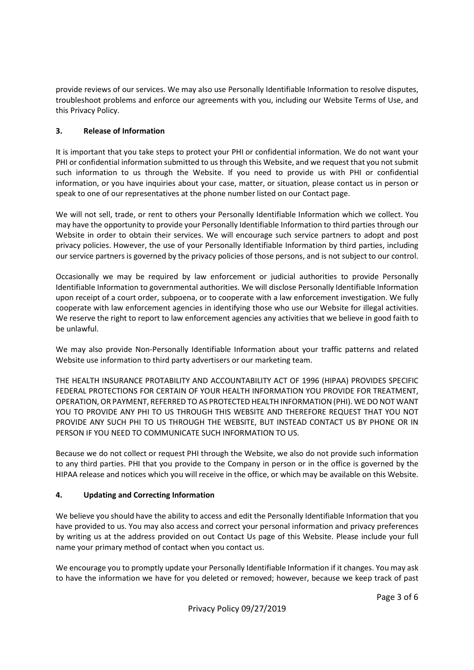provide reviews of our services. We may also use Personally Identifiable Information to resolve disputes, troubleshoot problems and enforce our agreements with you, including our Website Terms of Use, and this Privacy Policy.

# 3. Release of Information

It is important that you take steps to protect your PHI or confidential information. We do not want your PHI or confidential information submitted to us through this Website, and we request that you not submit such information to us through the Website. If you need to provide us with PHI or confidential information, or you have inquiries about your case, matter, or situation, please contact us in person or speak to one of our representatives at the phone number listed on our Contact page.

We will not sell, trade, or rent to others your Personally Identifiable Information which we collect. You may have the opportunity to provide your Personally Identifiable Information to third parties through our Website in order to obtain their services. We will encourage such service partners to adopt and post privacy policies. However, the use of your Personally Identifiable Information by third parties, including our service partners is governed by the privacy policies of those persons, and is not subject to our control.

Occasionally we may be required by law enforcement or judicial authorities to provide Personally Identifiable Information to governmental authorities. We will disclose Personally Identifiable Information upon receipt of a court order, subpoena, or to cooperate with a law enforcement investigation. We fully cooperate with law enforcement agencies in identifying those who use our Website for illegal activities. We reserve the right to report to law enforcement agencies any activities that we believe in good faith to be unlawful.

We may also provide Non-Personally Identifiable Information about your traffic patterns and related Website use information to third party advertisers or our marketing team.

THE HEALTH INSURANCE PROTABILITY AND ACCOUNTABILITY ACT OF 1996 (HIPAA) PROVIDES SPECIFIC FEDERAL PROTECTIONS FOR CERTAIN OF YOUR HEALTH INFORMATION YOU PROVIDE FOR TREATMENT, OPERATION, OR PAYMENT, REFERRED TO AS PROTECTED HEALTH INFORMATION (PHI). WE DO NOT WANT YOU TO PROVIDE ANY PHI TO US THROUGH THIS WEBSITE AND THEREFORE REQUEST THAT YOU NOT PROVIDE ANY SUCH PHI TO US THROUGH THE WEBSITE, BUT INSTEAD CONTACT US BY PHONE OR IN PERSON IF YOU NEED TO COMMUNICATE SUCH INFORMATION TO US.

Because we do not collect or request PHI through the Website, we also do not provide such information to any third parties. PHI that you provide to the Company in person or in the office is governed by the HIPAA release and notices which you will receive in the office, or which may be available on this Website.

## 4. Updating and Correcting Information

We believe you should have the ability to access and edit the Personally Identifiable Information that you have provided to us. You may also access and correct your personal information and privacy preferences by writing us at the address provided on out Contact Us page of this Website. Please include your full name your primary method of contact when you contact us.

We encourage you to promptly update your Personally Identifiable Information if it changes. You may ask to have the information we have for you deleted or removed; however, because we keep track of past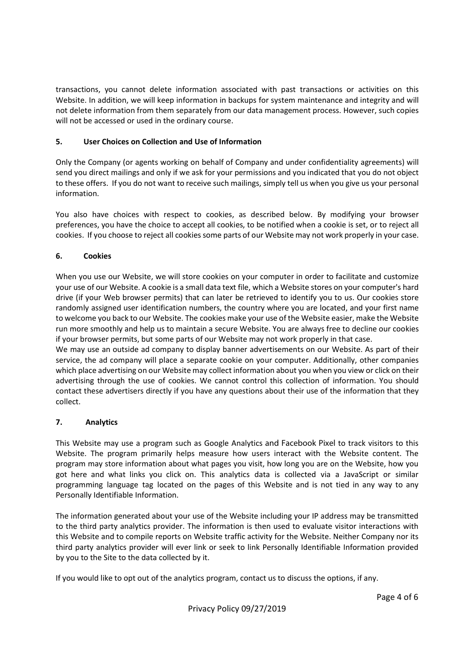transactions, you cannot delete information associated with past transactions or activities on this Website. In addition, we will keep information in backups for system maintenance and integrity and will not delete information from them separately from our data management process. However, such copies will not be accessed or used in the ordinary course.

## 5. User Choices on Collection and Use of Information

Only the Company (or agents working on behalf of Company and under confidentiality agreements) will send you direct mailings and only if we ask for your permissions and you indicated that you do not object to these offers. If you do not want to receive such mailings, simply tell us when you give us your personal information.

You also have choices with respect to cookies, as described below. By modifying your browser preferences, you have the choice to accept all cookies, to be notified when a cookie is set, or to reject all cookies. If you choose to reject all cookies some parts of our Website may not work properly in your case.

# 6. Cookies

When you use our Website, we will store cookies on your computer in order to facilitate and customize your use of our Website. A cookie is a small data text file, which a Website stores on your computer's hard drive (if your Web browser permits) that can later be retrieved to identify you to us. Our cookies store randomly assigned user identification numbers, the country where you are located, and your first name to welcome you back to our Website. The cookies make your use of the Website easier, make the Website run more smoothly and help us to maintain a secure Website. You are always free to decline our cookies if your browser permits, but some parts of our Website may not work properly in that case.

We may use an outside ad company to display banner advertisements on our Website. As part of their service, the ad company will place a separate cookie on your computer. Additionally, other companies which place advertising on our Website may collect information about you when you view or click on their advertising through the use of cookies. We cannot control this collection of information. You should contact these advertisers directly if you have any questions about their use of the information that they collect.

## 7. Analytics

This Website may use a program such as Google Analytics and Facebook Pixel to track visitors to this Website. The program primarily helps measure how users interact with the Website content. The program may store information about what pages you visit, how long you are on the Website, how you got here and what links you click on. This analytics data is collected via a JavaScript or similar programming language tag located on the pages of this Website and is not tied in any way to any Personally Identifiable Information.

The information generated about your use of the Website including your IP address may be transmitted to the third party analytics provider. The information is then used to evaluate visitor interactions with this Website and to compile reports on Website traffic activity for the Website. Neither Company nor its third party analytics provider will ever link or seek to link Personally Identifiable Information provided by you to the Site to the data collected by it.

If you would like to opt out of the analytics program, contact us to discuss the options, if any.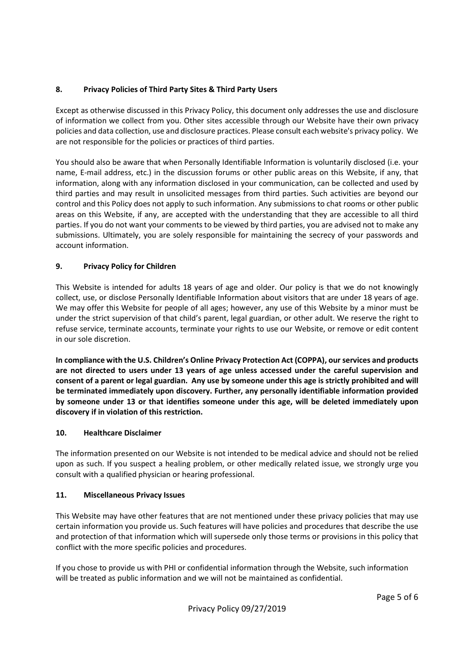# 8. Privacy Policies of Third Party Sites & Third Party Users

Except as otherwise discussed in this Privacy Policy, this document only addresses the use and disclosure of information we collect from you. Other sites accessible through our Website have their own privacy policies and data collection, use and disclosure practices. Please consult each website's privacy policy. We are not responsible for the policies or practices of third parties.

You should also be aware that when Personally Identifiable Information is voluntarily disclosed (i.e. your name, E-mail address, etc.) in the discussion forums or other public areas on this Website, if any, that information, along with any information disclosed in your communication, can be collected and used by third parties and may result in unsolicited messages from third parties. Such activities are beyond our control and this Policy does not apply to such information. Any submissions to chat rooms or other public areas on this Website, if any, are accepted with the understanding that they are accessible to all third parties. If you do not want your comments to be viewed by third parties, you are advised not to make any submissions. Ultimately, you are solely responsible for maintaining the secrecy of your passwords and account information.

## 9. Privacy Policy for Children

This Website is intended for adults 18 years of age and older. Our policy is that we do not knowingly collect, use, or disclose Personally Identifiable Information about visitors that are under 18 years of age. We may offer this Website for people of all ages; however, any use of this Website by a minor must be under the strict supervision of that child's parent, legal guardian, or other adult. We reserve the right to refuse service, terminate accounts, terminate your rights to use our Website, or remove or edit content in our sole discretion.

In compliance with the U.S. Children's Online Privacy Protection Act (COPPA), our services and products are not directed to users under 13 years of age unless accessed under the careful supervision and consent of a parent or legal guardian. Any use by someone under this age is strictly prohibited and will be terminated immediately upon discovery. Further, any personally identifiable information provided by someone under 13 or that identifies someone under this age, will be deleted immediately upon discovery if in violation of this restriction.

## 10. Healthcare Disclaimer

The information presented on our Website is not intended to be medical advice and should not be relied upon as such. If you suspect a healing problem, or other medically related issue, we strongly urge you consult with a qualified physician or hearing professional.

## 11. Miscellaneous Privacy Issues

This Website may have other features that are not mentioned under these privacy policies that may use certain information you provide us. Such features will have policies and procedures that describe the use and protection of that information which will supersede only those terms or provisions in this policy that conflict with the more specific policies and procedures.

If you chose to provide us with PHI or confidential information through the Website, such information will be treated as public information and we will not be maintained as confidential.